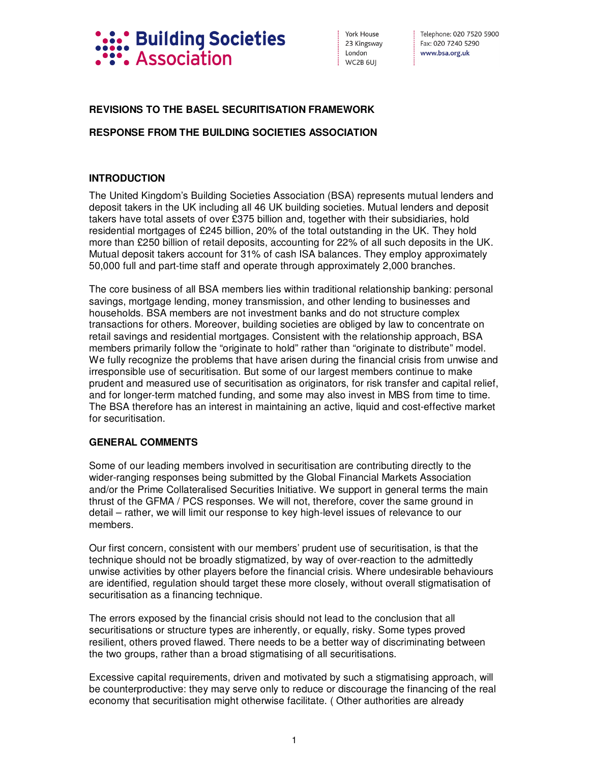

York House 23 Kingsway London WC2B 6UI

Telephone: 020 7520 5900 Fax: 020 7240 5290 www.bsa.org.uk

## **REVISIONS TO THE BASEL SECURITISATION FRAMEWORK**

## **RESPONSE FROM THE BUILDING SOCIETIES ASSOCIATION**

## **INTRODUCTION**

The United Kingdom's Building Societies Association (BSA) represents mutual lenders and deposit takers in the UK including all 46 UK building societies. Mutual lenders and deposit takers have total assets of over £375 billion and, together with their subsidiaries, hold residential mortgages of £245 billion, 20% of the total outstanding in the UK. They hold more than £250 billion of retail deposits, accounting for 22% of all such deposits in the UK. Mutual deposit takers account for 31% of cash ISA balances. They employ approximately 50,000 full and part-time staff and operate through approximately 2,000 branches.

The core business of all BSA members lies within traditional relationship banking: personal savings, mortgage lending, money transmission, and other lending to businesses and households. BSA members are not investment banks and do not structure complex transactions for others. Moreover, building societies are obliged by law to concentrate on retail savings and residential mortgages. Consistent with the relationship approach, BSA members primarily follow the "originate to hold" rather than "originate to distribute" model. We fully recognize the problems that have arisen during the financial crisis from unwise and irresponsible use of securitisation. But some of our largest members continue to make prudent and measured use of securitisation as originators, for risk transfer and capital relief, and for longer-term matched funding, and some may also invest in MBS from time to time. The BSA therefore has an interest in maintaining an active, liquid and cost-effective market for securitisation.

## **GENERAL COMMENTS**

Some of our leading members involved in securitisation are contributing directly to the wider-ranging responses being submitted by the Global Financial Markets Association and/or the Prime Collateralised Securities Initiative. We support in general terms the main thrust of the GFMA / PCS responses. We will not, therefore, cover the same ground in detail – rather, we will limit our response to key high-level issues of relevance to our members.

Our first concern, consistent with our members' prudent use of securitisation, is that the technique should not be broadly stigmatized, by way of over-reaction to the admittedly unwise activities by other players before the financial crisis. Where undesirable behaviours are identified, regulation should target these more closely, without overall stigmatisation of securitisation as a financing technique.

The errors exposed by the financial crisis should not lead to the conclusion that all securitisations or structure types are inherently, or equally, risky. Some types proved resilient, others proved flawed. There needs to be a better way of discriminating between the two groups, rather than a broad stigmatising of all securitisations.

Excessive capital requirements, driven and motivated by such a stigmatising approach, will be counterproductive: they may serve only to reduce or discourage the financing of the real economy that securitisation might otherwise facilitate. ( Other authorities are already